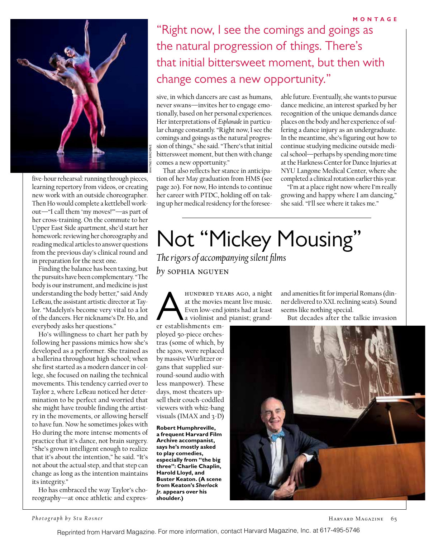

five-hour rehearsal: running through pieces, learning repertory from videos, or creating new work with an outside choreographer. Then Ho would complete a kettlebell workout—"I call them 'my moves!'"—as part of her cross-training. On the commute to her Upper East Side apartment, she'd start her homework: reviewing her choreography and reading medical articles to answer questions from the previous day's clinical round and in preparation for the next one.

Finding the balance has been taxing, but the pursuits have been complementary. "The body is our instrument, and medicine is just understanding the body better," said Andy LeBeau, the assistant artistic director at Taylor. "Madelyn's become very vital to a lot of the dancers. Her nickname's Dr. Ho, and everybody asks her questions."

Ho's willingness to chart her path by following her passions mimics how she's developed as a performer. She trained as a ballerina throughout high school; when she first started as a modern dancer in college, she focused on nailing the technical movements. This tendency carried over to Taylor 2, where LeBeau noticed her determination to be perfect and worried that she might have trouble finding the artistry in the movements, or allowing herself to have fun. Now he sometimes jokes with Ho during the more intense moments of practice that it's dance, not brain surgery. "She's grown intelligent enough to realize that it's about the intention," he said. "It's not about the actual step, and that step can change as long as the intention maintains its integrity."

Ho has embraced the way Taylor's choreography—at once athletic and expres-

## "Right now, I see the comings and goings as the natural progression of things. There's that initial bittersweet moment, but then with change comes a new opportunity."

sive, in which dancers are cast as humans, never swans—invites her to engage emotionally, based on her personal experiences. Her interpretations of *Esplanade* in particular change constantly. "Right now, I see the comings and goings as the natural progression of things," she said. "There's that initial bittersweet moment, but then with change comes a new opportunity."

That also reflects her stance in anticipation of her May graduation from HMS (see page 20). For now, Ho intends to continue her career with PTDC, holding off on taking up her medical residency for the foresee-

able future. Eventually, she wants to pursue dance medicine, an interest sparked by her recognition of the unique demands dance places on the body and her experience of suffering a dance injury as an undergraduate. In the meantime, she's figuring out how to continue studying medicine outside medical school—perhaps by spending more time at the Harkness Center for Dance Injuries at NYU Langone Medical Center, where she completed a clinical rotation earlier this year.

"I'm at a place right now where I'm really growing and happy where I am dancing," she said. "I'll see where it takes me."

## Not "Mickey Mousing" *The rigors of accompanying silent films*

*by* sophia nguyen

HUNDRED YEARS AGO, a night<br>at the movies meant live music.<br>Even low-end joints had at least<br>a violinist and pianist; grand-<br>er establishments emat the movies meant live music. Even low-end joints had at least a violinist and pianist; grand-

er establishments employed 50-piece orchestras (some of which, by the 1920s, were replaced by massive Wurlitzer organs that supplied surround-sound audio with less manpower). These days, most theaters upsell their couch-coddled viewers with whiz-bang visuals (IMAX and 3-D)

**Robert Humphreville, a frequent Harvard Film Archive accompanist, says he's mostly asked to play comedies, especially from "the big three": Charlie Chaplin, Harold Lloyd, and Buster Keaton. (A scene from Keaton's** *Sherlock Jr.* **appears over his shoulder.)**

and amenities fit for imperial Romans (dinner delivered to XXL reclining seats). Sound seems like nothing special.

But decades after the talkie invasion



*Photograph by Stu Rosner*

Reprinted from Harvard Magazine. For more information, contact Harvard Magazine, Inc. at 617-495-5746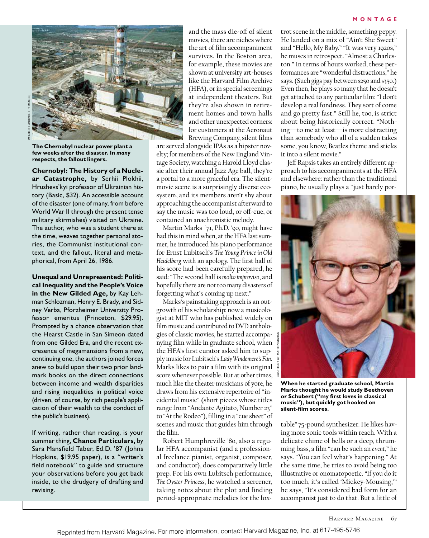

**The Chernobyl nuclear power plant a few weeks after the disaster. In** *many* **respects, the fallout lingers.**

### **Chernobyl: The History of a Nucle-**

**ar Catastrophe,** by Serhii Plokhii, Hrushevs'kyi professor of Ukrainian history (Basic, \$32). An accessible account of the disaster (one of many, from before World War II through the present tense military skirmishes) visited on Ukraine. The author, who was a student there at the time, weaves together personal stories, the Communist institutional context, and the fallout, literal and metaphorical, from April 26, 1986.

**Unequal and Unrepresented: Political Inequality and the People's Voice in the New Gilded Age,** by Kay Lehman Schlozman, Henry E. Brady, and Sidney Verba, Pforzheimer University Professor emeritus (Princeton, \$29.95). Prompted by a chance observation that the Hearst Castle in San Simeon dated from one Gilded Era, and the recent excresence of megamansions from a new, continuing one, the authors joined forces anew to build upon their two prior landmark books on the direct connections between income and wealth disparities and rising inequalities in political voice (driven, of course, by rich people's application of their wealth to the conduct of the public's business).

If writing, rather than reading, is your summer thing, **Chance Particulars,** by Sara Mansfield Taber, Ed.D. '87 (Johns Hopkins, \$19.95 paper), is a "writer's field notebook" to guide and structure your observations before you get back inside, to the drudgery of drafting and revising.

and the mass die-off of silent movies, there are niches where the art of film accompaniment survives. In the Boston area, for example, these movies are shown at university art-houses like the Harvard Film Archive (HFA), or in special screenings at independent theaters. But they're also shown in retirement homes and town halls and other unexpected corners: for customers at the Aeronaut Brewing Company, silent films

are served alongside IPAs as a hipster novelty; for members of the New England Vintage Society, watching a Harold Lloyd classic after their annual Jazz Age ball, they're a portal to a more graceful era. The silentmovie scene is a surprisingly diverse ecosystem, and its members aren't shy about approaching the accompanist afterward to say the music was too loud, or off-cue, or contained an anachronistic melody.

Martin Marks '71, Ph.D. '90, might have had this in mind when, at the HFA last summer, he introduced his piano performance for Ernst Lubitsch's *The Young Prince in Old Heidelberg* with an apology. The first half of his score had been carefully prepared, he said: "The second half is *molto improviso*, and hopefully there are not too many disasters of forgetting what's coming up next."

Marks's painstaking approach is an outgrowth of his scholarship: now a musicologist at MIT who has published widely on film music and contributed to DVD anthologies of classic movies, he started accompanying film while in graduate school, when the HFA's first curator asked him to supply music for Lubitsch's *Lady Windemere's Fan*. Marks likes to pair a film with its original score whenever possible. But at other times, much like the theater musicians of yore, he draws from his extensive repertoire of "incidental music" (short pieces whose titles range from "Andante Agitato, Number 23" to "At the Rodeo"), filling in a "cue sheet" of scenes and music that guides him through the film.

Robert Humphreville '80, also a regular HFA accompanist (and a professional freelance pianist, organist, composer, and conductor), does comparatively little prep. For his own Lubitsch performance, *The Oyster Princess*, he watched a screener, taking notes about the plot and finding period-appropriate melodies for the foxtrot scene in the middle, something peppy. He landed on a mix of "Ain't She Sweet" and "Hello, My Baby." "It was very 1920s," he muses in retrospect. "Almost a Charleston." In terms of hours worked, these performances are "wonderful distractions," he says. (Such gigs pay between \$250 and \$350.) Even then, he plays so many that he doesn't get attached to any particular film: "I don't develop a real fondness. They sort of come and go pretty fast." Still he, too, is strict about being historically correct. "Nothing—to me at least—is more distracting than somebody who all of a sudden takes some, you know, Beatles theme and sticks it into a silent movie."

Jeff Rapsis takes an entirely different approach to his accompaniments at the HFA and elsewhere: rather than the traditional piano, he usually plays a "just barely por-



**When he started graduate school, Martin Marks thought he would study Beethoven or Schubert ("my first loves in classical music"), but quickly got hooked on silent-film scores.**

table" 75-pound synthesizer. He likes having more sonic tools within reach. With a delicate chime of bells or a deep, thrumming bass, a film "can be such an *event*," he says. "You can feel what's happening." At the same time, he tries to avoid being too illustrative or onomatopoetic. "If you do it too much, it's called 'Mickey-Mousing,'" he says, "It's considered bad form for an accompanist just to do that. But a little of